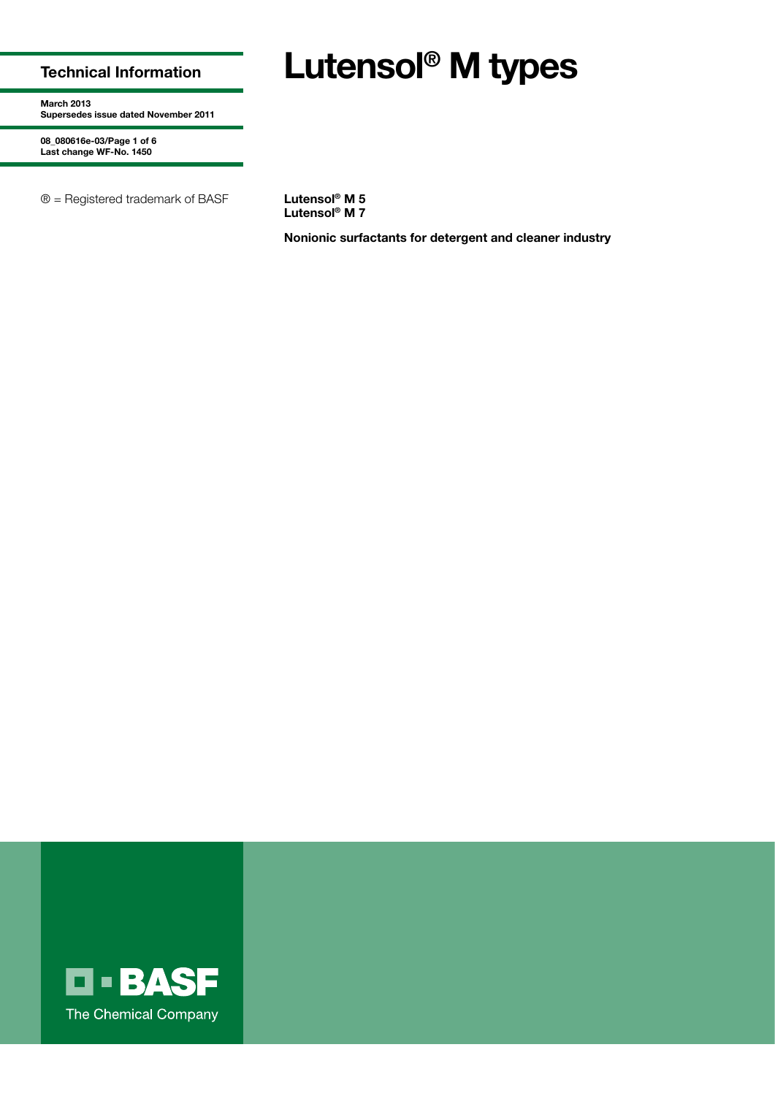## **Technical Information**

# **Lutensol® M types**

**March 2013 Supersedes issue dated November 2011**

**08\_080616e-03/Page 1 of 6 Last change WF-No. 1450**

® = Registered trademark of BASF **Lutensol® M 5**

**Lutensol® M 7**

**Nonionic surfactants for detergent and cleaner industry**

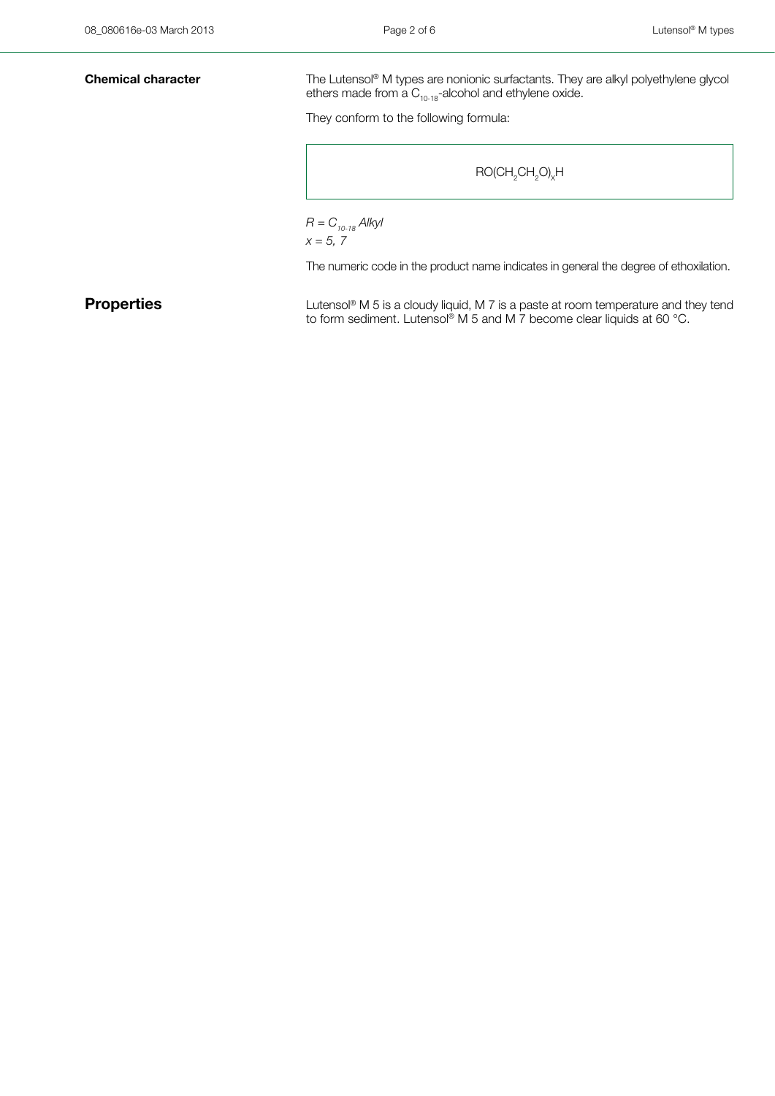**Chemical character** The Lutensol® M types are nonionic surfactants. They are alkyl polyethylene glycol ethers made from a  $C_{10-18}$ -alcohol and ethylene oxide.

They conform to the following formula:

```
\mathsf{RO}(\mathsf{CH}_2\mathsf{CH}_2\mathsf{O})_\mathsf{X}\mathsf{H}
```

```
R = C_{10-18} Alkyl
x = 5, 7
```
The numeric code in the product name indicates in general the degree of ethoxilation.

**Properties** Lutensol® M 5 is a cloudy liquid, M 7 is a paste at room temperature and they tend to form sediment. Lutensol® M 5 and M 7 become clear liquids at 60 °C.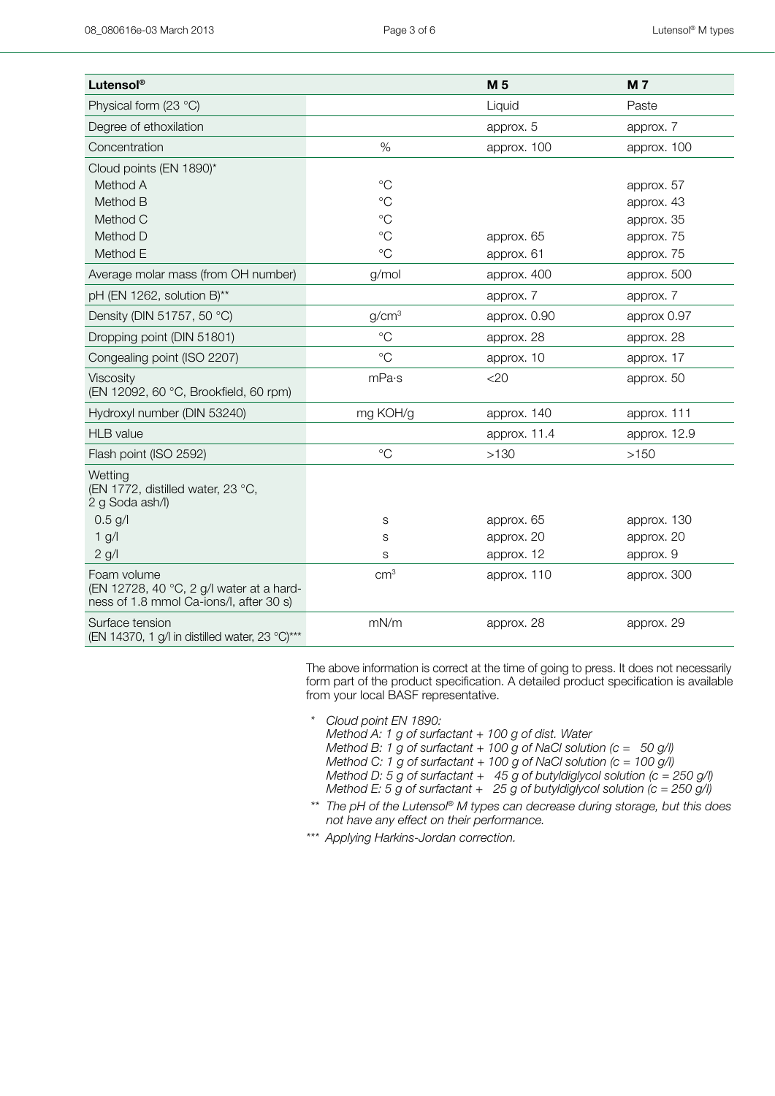| Lutensol®                                                                                          |                   | M <sub>5</sub> | <b>M7</b>    |
|----------------------------------------------------------------------------------------------------|-------------------|----------------|--------------|
| Physical form (23 °C)                                                                              |                   | Liquid         | Paste        |
| Degree of ethoxilation                                                                             |                   | approx. 5      | approx. 7    |
| Concentration                                                                                      | $\%$              | approx. 100    | approx. 100  |
| Cloud points (EN 1890)*                                                                            |                   |                |              |
| Method A                                                                                           | $^{\circ}$ C      |                | approx. 57   |
| Method B                                                                                           | $^{\circ}C$       |                | approx. 43   |
| Method C                                                                                           | $^{\circ}$ C      |                | approx. 35   |
| Method D                                                                                           | $\rm ^{\circ}C$   | approx. 65     | approx. 75   |
| Method E                                                                                           | $^{\circ}$ C      | approx. 61     | approx. 75   |
| Average molar mass (from OH number)                                                                | g/mol             | approx. 400    | approx. 500  |
| pH (EN 1262, solution B)**                                                                         |                   | approx. 7      | approx. 7    |
| Density (DIN 51757, 50 °C)                                                                         | g/cm <sup>3</sup> | approx. 0.90   | approx 0.97  |
| Dropping point (DIN 51801)                                                                         | $^{\circ}$ C      | approx. 28     | approx. 28   |
| Congealing point (ISO 2207)                                                                        | $^{\circ}$ C      | approx. 10     | approx. 17   |
| Viscosity<br>(EN 12092, 60 °C, Brookfield, 60 rpm)                                                 | mPa·s             | <20            | approx. 50   |
| Hydroxyl number (DIN 53240)                                                                        | mg KOH/g          | approx. 140    | approx. 111  |
| <b>HLB</b> value                                                                                   |                   | approx. 11.4   | approx. 12.9 |
| Flash point (ISO 2592)                                                                             | $^{\circ}$ C      | >130           | >150         |
| Wetting<br>(EN 1772, distilled water, 23 °C,<br>2 g Soda ash/l)                                    |                   |                |              |
| $0.5$ g/l                                                                                          | S                 | approx. 65     | approx. 130  |
| $1$ g/l                                                                                            | S                 | approx. 20     | approx. 20   |
| $2$ g/l                                                                                            | S                 | approx. 12     | approx. 9    |
| Foam volume<br>(EN 12728, 40 °C, 2 g/l water at a hard-<br>ness of 1.8 mmol Ca-ions/l, after 30 s) | cm <sup>3</sup>   | approx. 110    | approx. 300  |
| Surface tension<br>(EN 14370, 1 g/l in distilled water, 23 °C)***                                  | mN/m              | approx. 28     | approx. 29   |

The above information is correct at the time of going to press. It does not necessarily form part of the product specification. A detailed product specification is available from your local BASF representative.

*\* Cloud point EN 1890:*

*Method A: 1 g of surfactant + 100 g of dist. Water*

- *Method B: 1 g of surfactant + 100 g of NaCl solution (c = 50 g/l)*
- *Method C: 1 g of surfactant + 100 g of NaCl solution (c = 100 g/l)*
- *Method D: 5 g of surfactant + 45 g of butyldiglycol solution (c = 250 g/l)*
- *Method E: 5 g of surfactant + 25 g of butyldiglycol solution (c = 250 g/l)*
- *\*\* The pH of the Lutensol*® *M types can decrease during storage, but this does not have any effect on their performance.*
- *\*\*\* Applying Harkins-Jordan correction.*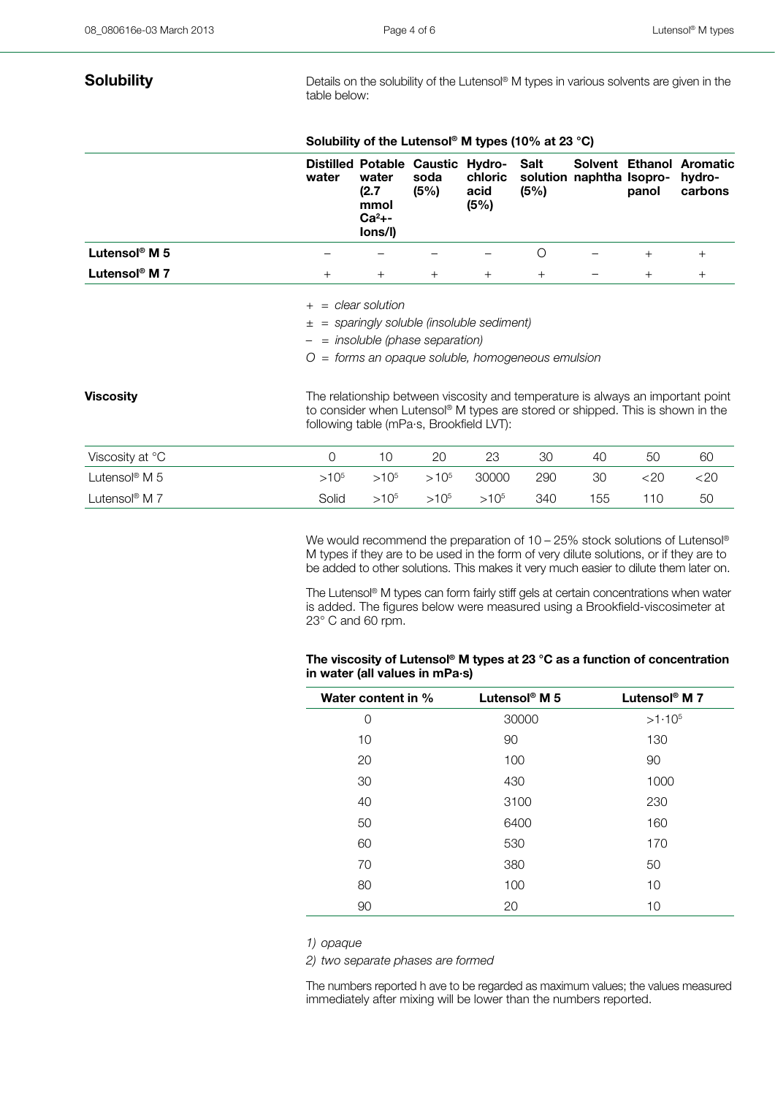**Solubility** Details on the solubility of the Lutensol® M types in various solvents are given in the table below:

|                             |           | Solubility of the Lutensol <sup>®</sup> M types (10% at 23 °C) |                                                                              |                                   |                                                                                |                          |        |                                                                                 |
|-----------------------------|-----------|----------------------------------------------------------------|------------------------------------------------------------------------------|-----------------------------------|--------------------------------------------------------------------------------|--------------------------|--------|---------------------------------------------------------------------------------|
|                             | water     | water<br>(2.7)<br>mmol<br>$Ca2$ +-<br>lons/l)                  | <b>Distilled Potable Caustic</b><br>soda<br>(5%)                             | Hydro-<br>chloric<br>acid<br>(5%) | Salt<br>(5%)                                                                   | solution naphtha Isopro- | panol  | Solvent Ethanol Aromatic<br>hydro-<br>carbons                                   |
| Lutensol <sup>®</sup> M 5   |           |                                                                |                                                                              |                                   | $\circ$                                                                        |                          | $^{+}$ | $^{+}$                                                                          |
| Lutensol <sup>®</sup> M $7$ | $+$       | $+$                                                            | $^{+}$                                                                       | $^{+}$                            | $^{+}$                                                                         |                          | $^{+}$ | $^{+}$                                                                          |
|                             | $+$<br>土  | $=$ clear solution                                             | = sparingly soluble (insoluble sediment)<br>$=$ insoluble (phase separation) |                                   | = forms an opaque soluble, homogeneous emulsion                                |                          |        |                                                                                 |
| <b>Viscosity</b>            |           |                                                                | following table (mPa·s, Brookfield LVT):                                     |                                   | to consider when Lutensol® M types are stored or shipped. This is shown in the |                          |        | The relationship between viscosity and temperature is always an important point |
| Viscosity at °C             | $\circ$   | 10                                                             | 20                                                                           | 23                                | 30                                                                             | 40                       | 50     | 60                                                                              |
| Lutensol <sup>®</sup> M 5   | $>10^{5}$ | $>10^{5}$                                                      | $>10^{5}$                                                                    | 30000                             | 290                                                                            | 30                       | <20    | <20                                                                             |
| Lutensol® M 7               | Solid     | $>10^{5}$                                                      | $>10^{5}$                                                                    | $>10^{5}$                         | 340                                                                            | 155                      | 110    | 50                                                                              |

We would recommend the preparation of 10 – 25% stock solutions of Lutensol® M types if they are to be used in the form of very dilute solutions, or if they are to be added to other solutions. This makes it very much easier to dilute them later on.

The Lutensol® M types can form fairly stiff gels at certain concentrations when water is added. The figures below were measured using a Brookfield-viscosimeter at  $23^\circ$  C and 60 rpm.

### **The viscosity of Lutensol® M types at 23 °C as a function of concentration in water (all values in mPa·s)**

| Water content in % | Lutensol <sup>®</sup> M 5 | Lutensol <sup>®</sup> M 7 |
|--------------------|---------------------------|---------------------------|
| 0                  | 30000                     | $>1.10^{5}$               |
| 10                 | 90                        | 130                       |
| 20                 | 100                       | 90                        |
| 30                 | 430                       | 1000                      |
| 40                 | 3100                      | 230                       |
| 50                 | 6400                      | 160                       |
| 60                 | 530                       | 170                       |
| 70                 | 380                       | 50                        |
| 80                 | 100                       | 10                        |
| 90                 | 20                        | 10                        |

*1) opaque*

*2) two separate phases are formed*

The numbers reported h ave to be regarded as maximum values; the values measured immediately after mixing will be lower than the numbers reported.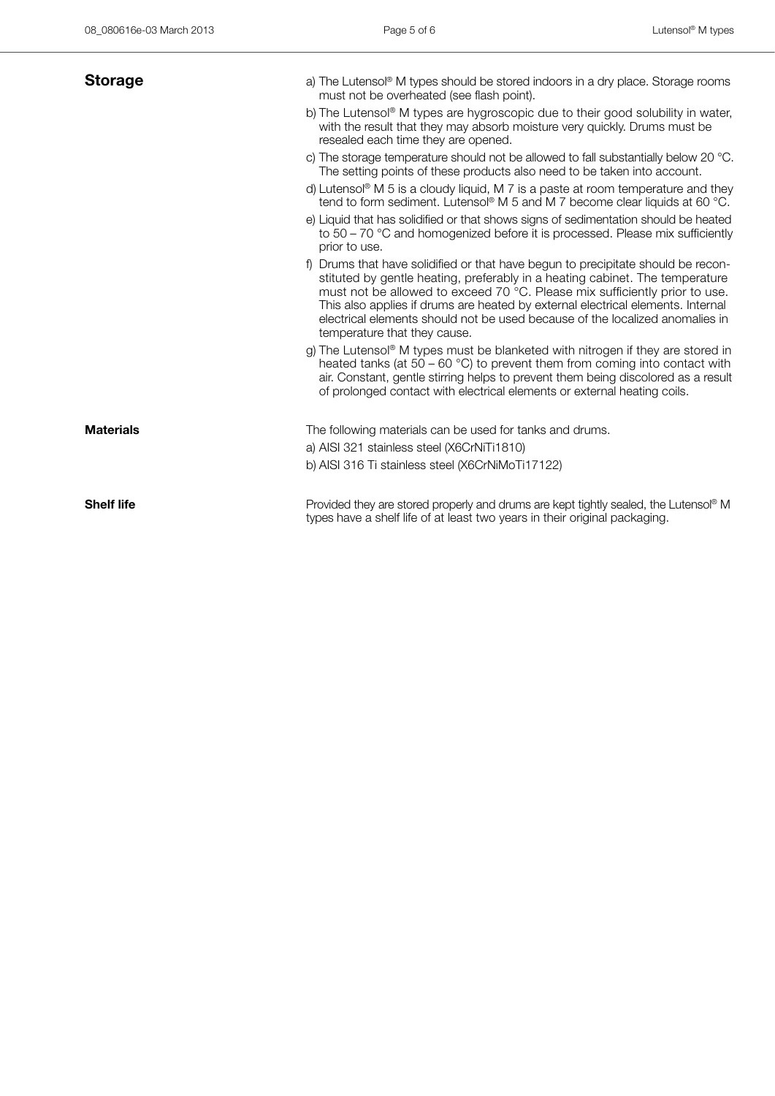| <b>Storage</b>    | a) The Lutensol® M types should be stored indoors in a dry place. Storage rooms<br>must not be overheated (see flash point).<br>b) The Lutensol® M types are hygroscopic due to their good solubility in water,<br>with the result that they may absorb moisture very quickly. Drums must be<br>resealed each time they are opened.                                                                                                               |
|-------------------|---------------------------------------------------------------------------------------------------------------------------------------------------------------------------------------------------------------------------------------------------------------------------------------------------------------------------------------------------------------------------------------------------------------------------------------------------|
|                   | c) The storage temperature should not be allowed to fall substantially below 20 °C.<br>The setting points of these products also need to be taken into account.                                                                                                                                                                                                                                                                                   |
|                   | d) Lutensol <sup>®</sup> M 5 is a cloudy liquid, M 7 is a paste at room temperature and they<br>tend to form sediment. Lutensol <sup>®</sup> M 5 and M 7 become clear liquids at 60 °C.                                                                                                                                                                                                                                                           |
|                   | e) Liquid that has solidified or that shows signs of sedimentation should be heated<br>to $50 - 70$ °C and homogenized before it is processed. Please mix sufficiently<br>prior to use.                                                                                                                                                                                                                                                           |
|                   | f) Drums that have solidified or that have begun to precipitate should be recon-<br>stituted by gentle heating, preferably in a heating cabinet. The temperature<br>must not be allowed to exceed 70 °C. Please mix sufficiently prior to use.<br>This also applies if drums are heated by external electrical elements. Internal<br>electrical elements should not be used because of the localized anomalies in<br>temperature that they cause. |
|                   | g) The Lutensol® M types must be blanketed with nitrogen if they are stored in<br>heated tanks (at $50 - 60$ °C) to prevent them from coming into contact with<br>air. Constant, gentle stirring helps to prevent them being discolored as a result<br>of prolonged contact with electrical elements or external heating coils.                                                                                                                   |
| <b>Materials</b>  | The following materials can be used for tanks and drums.<br>a) AISI 321 stainless steel (X6CrNiTi1810)<br>b) AISI 316 Ti stainless steel (X6CrNiMoTi17122)                                                                                                                                                                                                                                                                                        |
| <b>Shelf life</b> | Provided they are stored properly and drums are kept tightly sealed, the Lutensol <sup>®</sup> M<br>types have a shelf life of at least two years in their original packaging.                                                                                                                                                                                                                                                                    |